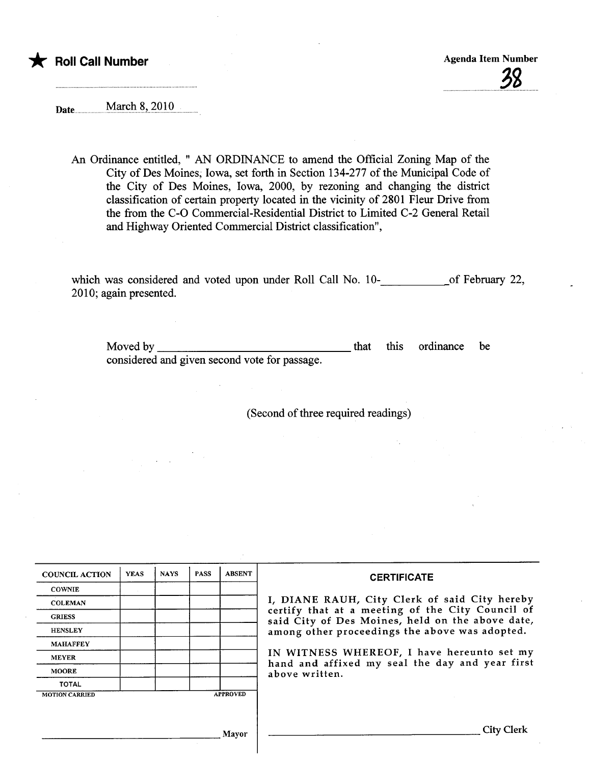

Date.... ..........mMai9.i..Si..7.919.....

An Ordinance entitled, " AN ORDINANCE to amend the Official Zoning Map of the City of Des Moines; Iowa, set forth in Section 134-277 of the Municipal Code of the City of Des Moines, Iowa, 2000, by rezoning and changing the district classification of certain property located in the vicinity of 2801 Fleur Drive from the from the C-O Commercial-Residential District to Limited C-2 General Retail and Highway Oriented Commercial District classification",

which was considered and voted upon under Roll Call No. 10-contract of February 22, 2010; again presented.

Moved by considered and given second vote for passage. this ordinance be

(Second of three required readings)

| <b>COUNCIL ACTION</b> | <b>YEAS</b> | <b>NAYS</b> | <b>PASS</b> | <b>ABSENT</b>   | <b>CERTIFICATE</b>                                                                                   |  |  |  |  |  |
|-----------------------|-------------|-------------|-------------|-----------------|------------------------------------------------------------------------------------------------------|--|--|--|--|--|
| <b>COWNIE</b>         |             |             |             |                 |                                                                                                      |  |  |  |  |  |
| <b>COLEMAN</b>        |             |             |             |                 | I, DIANE RAUH, City Clerk of said City hereby                                                        |  |  |  |  |  |
| <b>GRIESS</b>         |             |             |             |                 | certify that at a meeting of the City Council of<br>said City of Des Moines, held on the above date, |  |  |  |  |  |
| <b>HENSLEY</b>        |             |             |             |                 | among other proceedings the above was adopted.                                                       |  |  |  |  |  |
| <b>MAHAFFEY</b>       |             |             |             |                 |                                                                                                      |  |  |  |  |  |
| <b>MEYER</b>          |             |             |             |                 | IN WITNESS WHEREOF, I have hereunto set my<br>hand and affixed my seal the day and year first        |  |  |  |  |  |
| <b>MOORE</b>          |             |             |             |                 | above written.                                                                                       |  |  |  |  |  |
| <b>TOTAL</b>          |             |             |             |                 |                                                                                                      |  |  |  |  |  |
| <b>MOTION CARRIED</b> |             |             |             | <b>APPROVED</b> |                                                                                                      |  |  |  |  |  |
|                       |             |             |             |                 |                                                                                                      |  |  |  |  |  |
|                       |             |             |             |                 |                                                                                                      |  |  |  |  |  |
| Mayor                 |             |             |             |                 | <b>City Clerk</b>                                                                                    |  |  |  |  |  |
|                       |             |             |             |                 |                                                                                                      |  |  |  |  |  |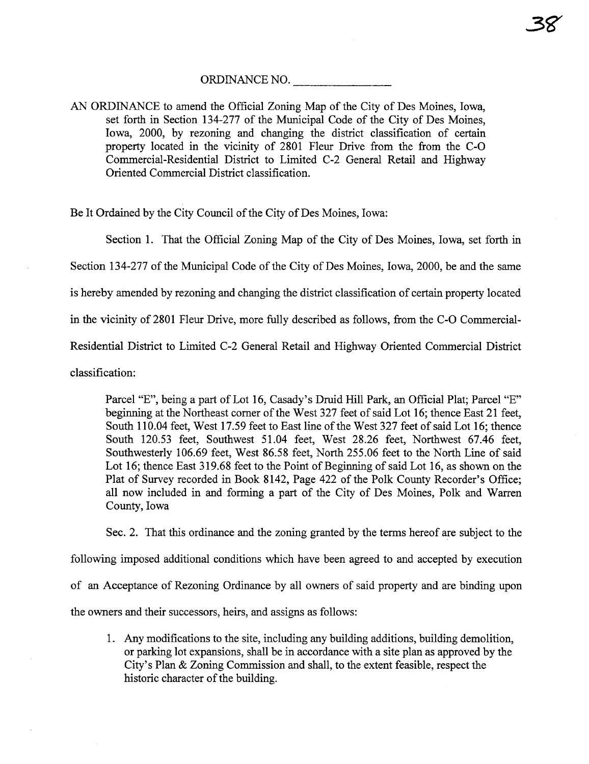AN ORDINANCE to amend the Official Zoning Map of the City of Des Moines, Iowa, set forth in Section 134-277 of the Municipal Code of the City of Des Moines, Iowa, 2000, by rezoning and changing the district classification of certain property located in the vicinity of 2801 Fleur Drive from the from the C-O Commercial-Residential District to Limited C-2 General Retail and Highway Oriented Commercial District classification.

Be It Ordained by the City Council of the City of Des Moines, Iowa:

Section 1. That the Official Zoning Map of the City of Des Moines, Iowa, set forth in

Section 134-277 of the Municipal Code of the City of Des Moines, Iowa, 2000, be and the same

is hereby amended by rezoning and changing the district classification of certain property located

in the vicinity of 2801 Fleur Drive, more fully described as follows, from the C-O Commercial-

Residential District to Limited C-2 General Retail and Highway Oriented Commercial District

classification:

Parcel "E", being a part of Lot 16, Casady's Druid Hill Park, an Official Plat; Parcel "E" beginning at the Northeast corner of the West 327 feet of said Lot 16; thence East 21 feet, South 110.04 feet, West 17.59 feet to East line of the West 327 feet of said Lot 16; thence South 120.53 feet, Southwest 51.04 feet, West 28.26 feet, Northwest 67.46 feet, Southwesterly 106.69 feet, West 86.58 feet, North 255.06 feet to the North Line of said Lot 16; thence East 319.68 feet to the Point of Beginning of said Lot 16, as shown on the Plat of Survey recorded in Book 8142, Page 422 of the Polk County Recorder's Office; all now included in and forming a part of the City of Des Moines, Polk and Warren County, Iowa

Sec. 2. That this ordinance and the zoning granted by the terms hereof are subject to the

following imposed additional conditions which have been agreed to and accepted by execution

of an Acceptance of Rezoning Ordinance by all owners of said property and are binding upon

the owners and their successors, heirs, and assigns as follows:

1. Any modifications to the site, including any building additions, building demolition, or parkig lot expansions, shall be in accordance with a site plan as approved by the City's Plan  $& Zoning$  Commission and shall, to the extent feasible, respect the historic character of the building.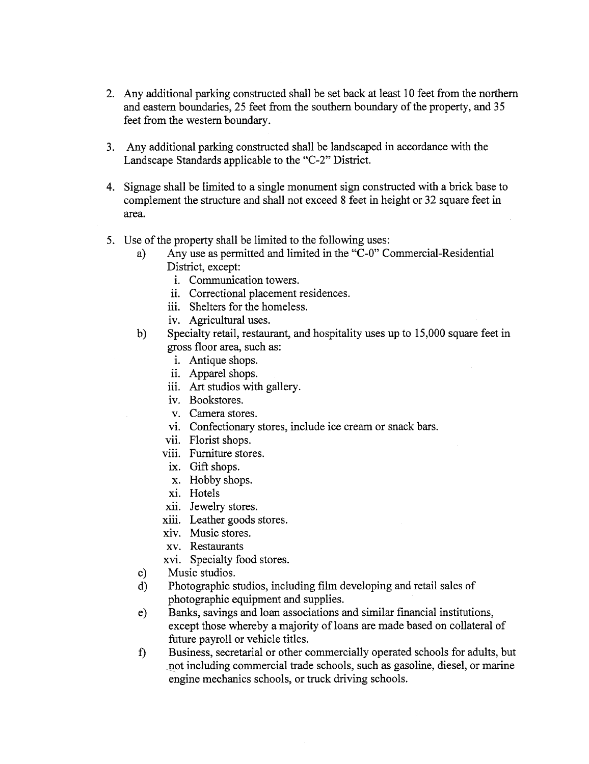- 2. Any additional parking constructed shall be set back at least 10 feet from the northern and eastern boundaries, 25 feet from the southern boundary of the property, and 35 feet from the western boundary.
- 3. Any additional parking constructed shall be landscaped in accordance with the Landscape Standards applicable to the "C-2" District.
- 4. Signage shall be limited to a single monument sign constructed with a brick base to complement the structue and shall not exceed 8 feet in height or 32 square feet in area.
- 5. Use of the property shall be limited to the following uses:
	- a) Any use as permitted and limited in the "C-O" Commercial-Residential District, except:
		- i. Communication towers.
		- ii. Correctional placement residences.
		- iii. Shelters for the homeless.
		- iv. Agricultural uses.
	- b) Specialty retail, restaurant, and hospitality uses up to 15,000 square feet in gross floor area, such as:
		- i. Antique shops.
		- ii. Apparel shops.
		- iii. Art studios with gallery.
		- iv. Bookstores.
		- v. Camera stores.
		- vi. Confectionary stores, include ice cream or snack bars.
		- vii. Florist shops.
		- viii. Furniture stores.
		- ix. Gift shops.
		- x. Hobby shops.
		- xi. Hotels
		- xii. Jewelry stores.
		- xiii. Leather goods stores.
		- xiv. Music stores.
		- xv. Restaurants
		- xvi. Specialty food stores.
	- c) Music studios.
	- d) Photographic studios, including fim developing and retail sales of photographic equipment and supplies.
	- e) Banks, savings and loan associations and similar financial institutions, except those whereby a majority of loans are made based on collateral of futue payroll or vehicle titles.
	- £) Business, secretaral or other commercially operated schools for adults, but not including commercial trade schools, such as gasoline, diesel, or marine engine mechanics schools, or truck driving schools.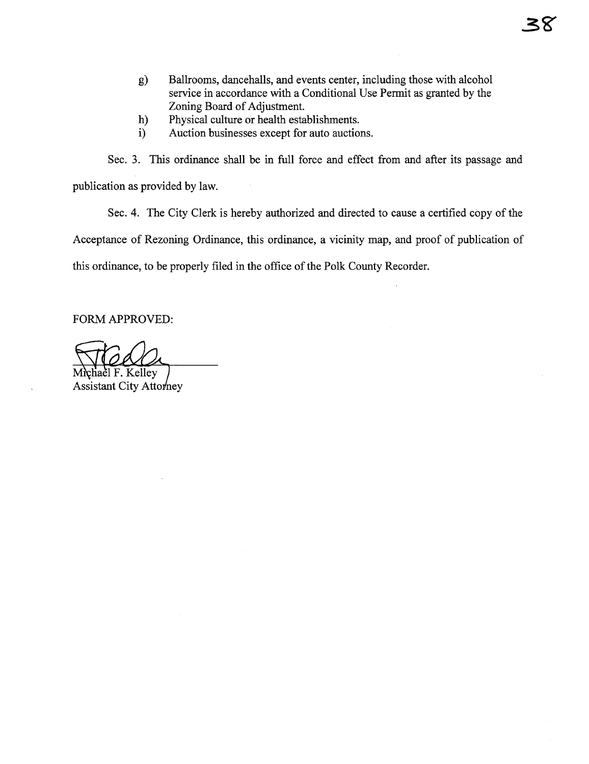- g) Ballrooms, dancehalls, and events center, including those with alcohol service in accordance with a Conditional Use Permit as granted by the Zoning Board of Adjustment.
- h) Physical cultue or health establishments.
- i) Auction businesses except for auto auctions.

Sec. 3. This ordinance shall be in full force and effect from and after its passage and publication as provided by law.

Sec. 4. The City Clerk is hereby authorized and directed to cause a certified copy of the Acceptance of Rezonig Ordinance, this ordinance, a vicinty map, and proof of publication of this ordinance, to be properly filed in the office of the Polk County Recorder.

FORM APPROVED:

hael F. Kellev

**Assistant City Attorney**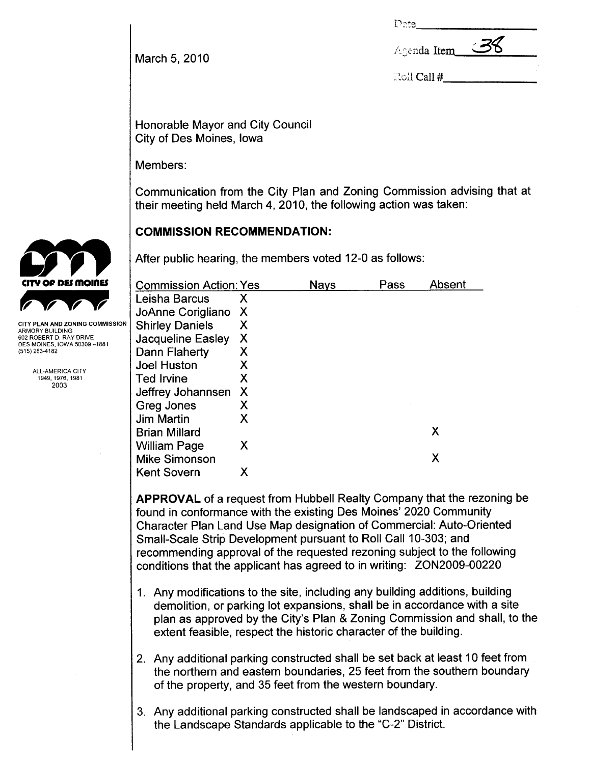Date

Agenda Item

March 5, 2010

| Roll Call $\#$ |  |
|----------------|--|
|----------------|--|

Honorable Mayor and City Council City of Des Moines, Iowa

Members:

Communication from the City Plan and Zoning Commission advising that at their meeting held March 4, 2010, the following action was taken:

## COMMISSION RECOMMENDATION:

After public hearing, the members voted 12-0 as follows:

| <b>Commission Action: Yes</b> |   | <b>Nays</b> | Pass | Absent |
|-------------------------------|---|-------------|------|--------|
| Leisha Barcus                 | х |             |      |        |
| JoAnne Corigliano             | X |             |      |        |
| <b>Shirley Daniels</b>        | Х |             |      |        |
| Jacqueline Easley             | X |             |      |        |
| Dann Flaherty                 | X |             |      |        |
| <b>Joel Huston</b>            | Х |             |      |        |
| <b>Ted Irvine</b>             | Χ |             |      |        |
| Jeffrey Johannsen             | X |             |      |        |
| Greg Jones                    | Х |             |      |        |
| <b>Jim Martin</b>             | Х |             |      |        |
| <b>Brian Millard</b>          |   |             |      | Χ      |
| William Page                  | X |             |      |        |
| <b>Mike Simonson</b>          |   |             |      | Χ      |
| <b>Kent Sovern</b>            | х |             |      |        |

APPROVAL of a request from Hubbell Realty Company that the rezoning be found in conformance with the existing Des Moines' 2020 Community Character Plan Land Use Map designation of Commercial: Auto-Oriented Small-Scale Strip Development pursuant to Roll Call 10-303; and recommending approval of the requested rezoning subject to the following conditions that the applicant has agreed to in writing: ZON2009-00220

- 1. Any modifications to the site, including any building additions, building demolition, or parking lot expansions, shall be in accordance with a site plan as approved by the City's Plan & Zoning Commission and shall, to the extent feasible, respect the historic character of the building.
- 2. Any additional parking constructed shall be set back at least 10 feet from the northern and eastern boundaries, 25 feet from the southern boundary of the property, and 35 feet from the western boundary.
- 3. Any additional parking constructed shall be landscaped in accordance with the Landscape Standards applicable to the "C-2" District.



CITY PLAN AND ZONING COMMISSION ARMORY BUILDING 602 ROBERT D. RAY DRIVE DES MOINES, IOWA 50309-1881 (515) 283-4182

> ALL-AMERICA CITY 1949,1976, 1981 2003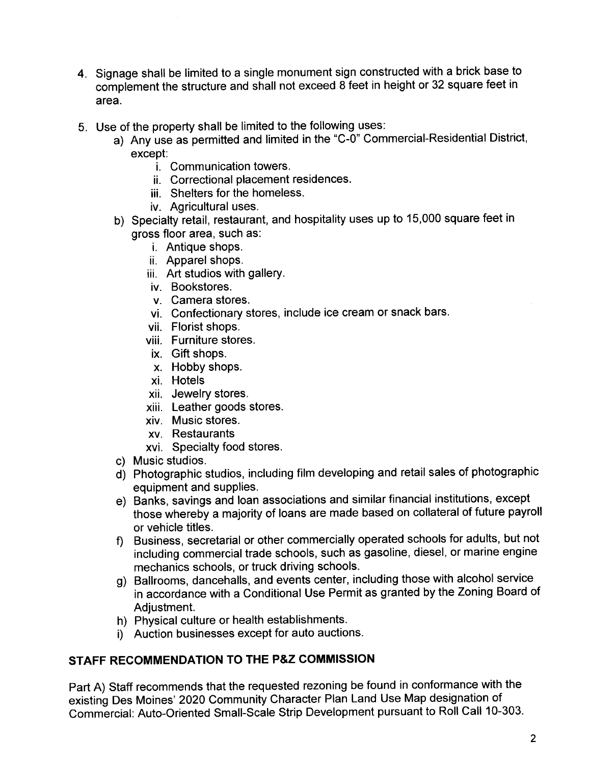- 4. Signage shall be limited to a single monument sign constructed with a brick base to complement the structure and shall not exceed 8 feet in height or 32 square feet in area.
- 5. Use of the property shall be limited to the following uses:
	- a) Any use as permitted and limited in the "C-O" Commercial-Residential District, except:
		- i. Communication towers.
		- ii. Correctional placement residences.
		- iii. Shelters for the homeless.
		- iv. Agricultural uses.
	- b) Specialty retail, restaurant, and hospitality uses up to 15,000 square feet in gross floor area, such as:
		- i. Antique shops.
		- ii. Apparel shops.
		- iii. Art studios with gallery.
		- iv. Bookstores.
		- v. Camera stores.
		- vi. Confectionary stores, include ice cream or snack bars.
		- vii. Florist shops.
		- viii. Furniture stores.
		- ix. Gift shops.
		- x. Hobby shops.
		- xi. Hotels
		- xii. Jewelry stores.
		- xiii. Leather goods stores.
		- xiv. Music stores.
		- xv. Restaurants
		- xvi. Specialty food stores.
	- c) Music studios.
	- d) Photographic studios, including film developing and retail sales of photographic equipment and supplies.
	- e) Banks, savings and loan associations and similar financial institutions, except those whereby a majority of loans are made based on collateral of future payroll or vehicle titles.
	- f) Business, secretarial or other commercially operated schools for adults, but not including commercial trade schools, such as gasoline, diesel, or marine engine mechanics schools, or truck driving schools.
	- g) Ballrooms, dancehalls, and events center, including those with alcohol service in accordance with a Conditional Use Permit as granted by the Zoning Board of Adjustment.
	- h) Physical culture or health establishments.
	- i) Auction businesses except for auto auctions.

## STAFF RECOMMENDATION TO THE P&Z COMMISSION

Part A) Staff recommends that the requested rezoning be found in conformance with the existing Des Moines' 2020 Community Character Plan Land Use Map designation of Commercial: Auto-Oriented Small-Scale Strip Development pursuant to Roll Call 10-303.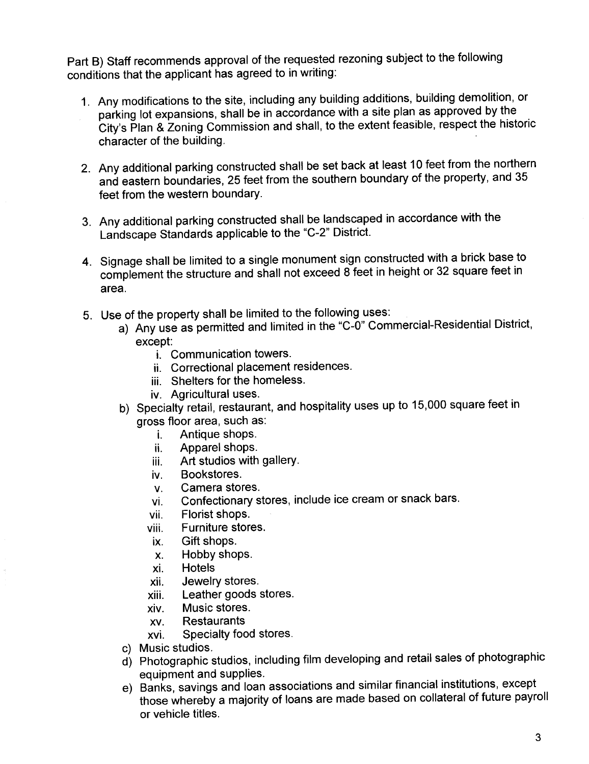Part B) Staff recommends approval of the requested rezoning subject to the following conditions that the applicant has agreed to in writing:

- 1. Any modifications to the site, including any building additions, building demolition, or parking lot expansions, shall be in accordance with a site plan as approved by the City's Plan & Zoning Commission and shall, to the extent feasible, respect the historic character of the building.
- 2. Any additional parking constructed shall be set back at least 10 feet from the northern and eastern boundaries, 25 feet from the southern boundary of the property, and 35 feet from the western boundary.
- 3. Any additional parking constructed shall be landscaped in accordance with the Landscape Standards applicable to the "C-2" District.
- 4. Signage shall be limited to a single monument sign constructed with a brick base to complement the structure and shall not exceed 8 feet in height or 32 square feet in area.
- 5. Use of the property shall be limited to the following uses:
	- a) Any use as permitted and limited in the "C-O" Commercial-Residential District, except:
		- i. Communication towers.
		- ii. Correctional placement residences.
		- iii. Shelters for the homeless.
		- iv. Agricultural uses.
	- b) Specialty retail, restaurant, and hospitality uses up to 15,000 square feet in gross floor area, such as:
		- i. Antique shops.
		- ii. Apparel shops.
		- iii. Art studios with gallery.
		- iv. Bookstores.
		- v. Camera stores.
		- vi. Confectionary stores, include ice cream or snack bars.
		- vii. Florist shops.
		- viii. Furniture stores.
		- ix. Gift shops.
		- x. Hobby shops.
		- xi. Hotels
		- xii. Jewelry stores.
		- xiii. Leather goods stores.
		- xiv. Music stores.
		- xv. Restaurants
		- xvi. Specialty food stores.
	- c) Music studios.
	- d) Photographic studios, including film developing and retail sales of photographic equipment and supplies.
	- e) Banks, savings and loan associations and similar financial institutions, except those whereby a majority of loans are made based on collateral of future payroll or vehicle titles.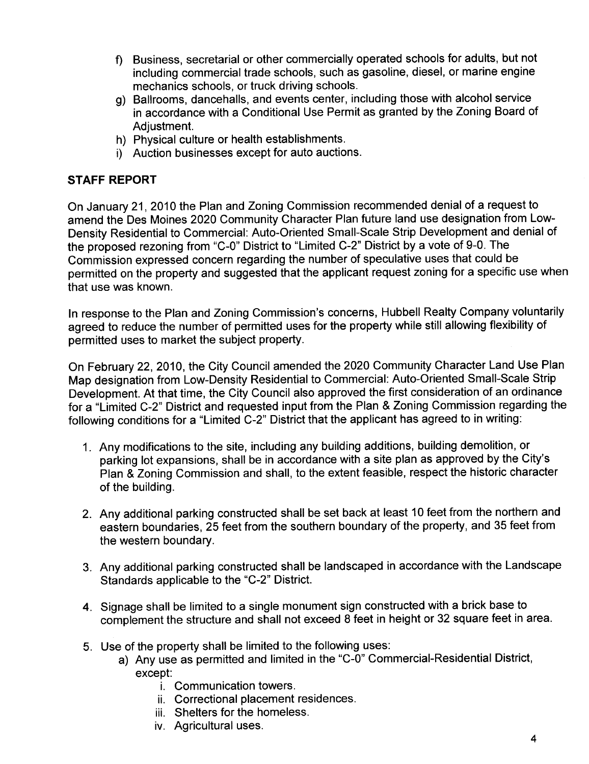- f) Business, secretarial or other commercially operated schools for adults, but not including commercial trade schools, such as gasoline, diesel, or marine engine mechanics schools, or truck driving schools.
- g) Ballrooms, dancehalls, and events center, including those with alcohol service in accordance with a Conditional Use Permit as granted by the Zoning Board of Adjustment.
- h) Physical culture or health establishments.
- i) Auction businesses except for auto auctions.

### STAFF REPORT

On January 21, 2010 the Plan and Zoning Commission recommended denial of a request to amend the Des Moines 2020 Community Character Plan future land use designation from Low-Density Residential to Commercial: Auto-Oriented Small-Scale Strip Development and denial of the proposed rezoning from "C-O" District to "Limited C-2" District by a vote of 9-0. The Commission expressed concern regarding the number of speculative uses that could be permitted on the property and suggested that the applicant request zoning for a specific use when that use was known.

In response to the Plan and Zoning Commission's concerns, Hubbell Realty Company voluntarily agreed to reduce the number of permitted uses for the property while still allowing flexibility of permitted uses to market the subject property.

On February 22, 2010, the City Council amended the 2020 Community Character Land Use Plan Map designation from Low-Density Residential to Commercial: Auto-Oriented Small-Scale Strip Development. At that time, the City Council also approved the first consideration of an ordinance for a "Limited C-2" District and requested input from the Plan & Zoning Commission regarding the following conditions for a "Limited C-2" District that the applicant has agreed to in writing:

- 1. Any modifications to the site, including any building additions, building demolition, or parking lot expansions, shall be in accordance with a site plan as approved by the City's Plan & Zoning Commission and shall, to the extent feasible, respect the historic character of the building.
- 2. Any additional parking constructed shall be set back at least 10 feet from the northern and eastern boundaries, 25 feet from the southern boundary of the property, and 35 feet from the western boundary.
- 3. Any additional parking constructed shall be landscaped in accordance with the Landscape Standards applicable to the "C-2" District.
- 4. Signage shall be limited to a single monument sign constructed with a brick base to complement the structure and shall not exceed 8 feet in height or 32 square feet in area.
- 5. Use of the property shall be limited to the following uses:
	- a) Any use as permitted and limited in the "C-O" Commercial-Residential District, except:
		- i. Communication towers.
		- ii. Correctional placement residences.
		- iii. Shelters for the homeless.
		- iv. Agricultural uses.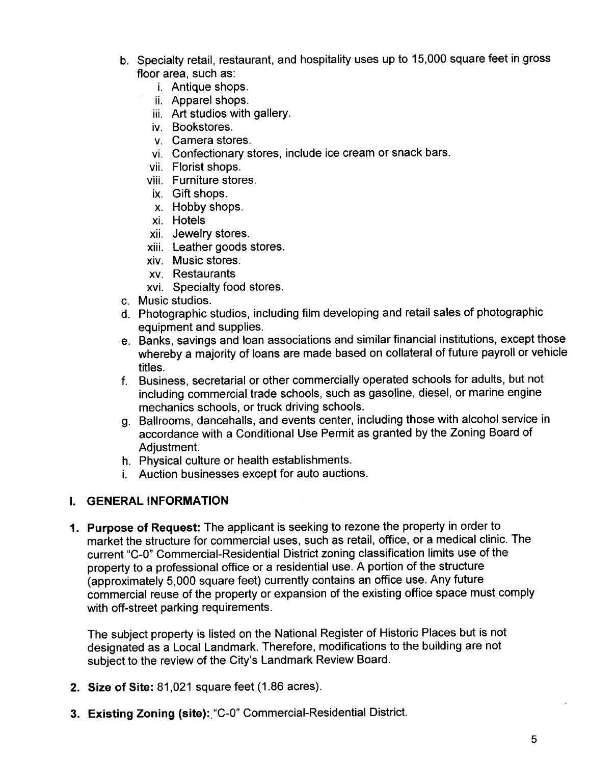- b. Specialty retail, restaurant, and hospitality uses up to 15,000 square feet in gross floor area, such as:
	- i. Antique shops.
	- ii. Apparel shops.
	- iii. Art studios with gallery.
	- iv. Bookstores.
	- v. Camera stores.
	- vi. Confectionary stores, include ice cream or snack bars.
	- vii. Florist shops.
	- viii. Furniture stores.
	- ix. Gift shops.
	- x. Hobby shops.
	- xi. Hotels
	- xii. Jewelry stores.
	- xiii. Leather goods stores.
	- xiv. Music stores.
	- xv. Restaurants
	- xvi. Specialty food stores.
- c. Music studios.
- d. Photographic studios, including film developing and retail sales of photographic equipment and supplies.
- e. Banks, savings and loan associations and similar financial institutions, except those whereby a majority of loans are made based on collateral of future payroll or vehicle titles.
- f. Business, secretarial or other commercially operated schools for adults, but not including commercial trade schools, such as gasoline, diesel, or marine engine mechanics schools, or truck driving schools.
- g. Ballrooms, dancehalls, and events center, including those with alcohol service in accordance with a Conditional Use Permit as granted by the Zoning Board of Adjustment.
- h. Physical culture or health establishments.
- i. Auction businesses except for auto auctions.

#### I. GENERAL INFORMATION

1. Purpose of Request: The applicant is seeking to rezone the property in order to market the structure for commercial uses, such as retail, office, or a medical clinic. The current "C-O" Commercial-Residential District zoning classification limits use of the property to a professional office or a residential use. A portion of the structure (approximately 5,000 square feet) currently contains an office use. Any future commercial reuse of the property or expansion of the existing office space must comply with off-street parking requirements.

The subject property is listed on the National Register of Historic Places but is not designated as a Local Landmark. Therefore, modifications to the building are not subject to the review of the City's Landmark Review Board.

- 2. Size of Site: 81,021 square feet (1.86 acres).
- 3. Existing Zoning (site): "C-0" Commercial-Residential District.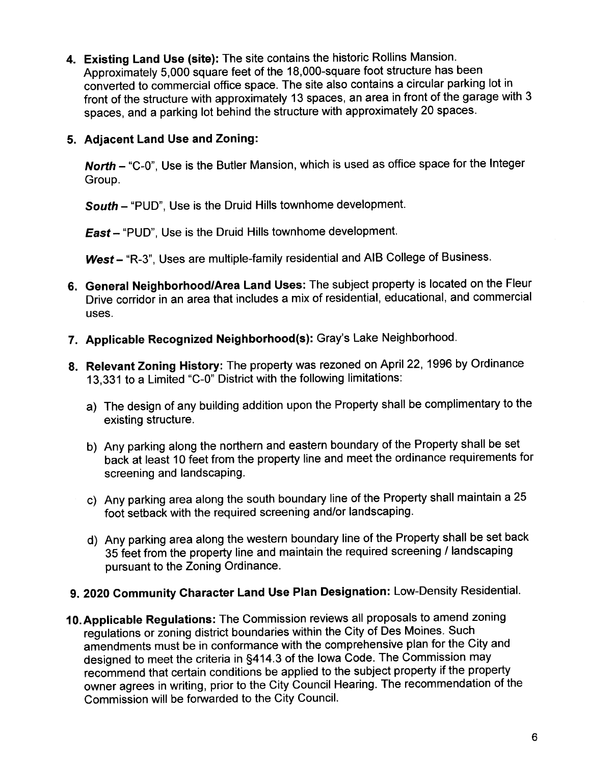4. Existing Land Use (site): The site contains the historic Rollins Mansion. Approximately 5,000 square feet of the 18,000-square foot structure has been converted to commercial office space. The site also contains a circular parking lot in front of the structure with approximately 13 spaces, an area in front of the garage with 3 spaces, and a parking lot behind the structure with approximately 20 spaces.

## 5. Adjacent Land Use and Zoning:

North - "C-0", Use is the Butler Mansion, which is used as office space for the Integer Group.

South - "PUD", Use is the Druid Hills townhome development.

East - "PUD", Use is the Druid Hills townhome development.

West - "R-3", Uses are multiple-family residential and AIB College of Business.

- 6. General Neighborhood/Area Land Uses: The subject property is located on the Fleur Drive corridor in an area that includes a mix of residential, educational, and commercial uses.
- 7. Applicable Recognized Neighborhood(s): Gray's Lake Neighborhood.
- 8. Relevant Zoning History: The property was rezoned on April 22, 1996 by Ordinance 13,331 to a Limited "C-O" District with the following limitations:
	- a) The design of any building addition upon the Property shall be complimentary to the existing structure.
	- b) Any parking along the northern and eastern boundary of the Property shall be set back at least 10 feet from the property line and meet the ordinance requirements for screening and landscaping.
	- c) Any parking area along the south boundary line of the Property shall maintain a 25 foot setback with the required screening and/or landscaping.
	- d) Any parking area along the western boundary line of the Property shall be set back 35 feet from the property line and maintain the required screening / landscaping pursuant to the Zoning Ordinance.

# 9. 2020 Community Character Land Use Plan Designation: Low-Density ResidentiaL.

10. Applicable Regulations: The Commission reviews all proposals to amend zoning regulations or zoning district boundaries within the City of Des Moines. Such amendments must be in conformance with the comprehensive plan for the City and designed to meet the criteria in §414.3 of the Iowa Code. The Commission may recommend that certain conditions be applied to the subject property if the property owner agrees in writing, prior to the City Council Hearing. The recommendation of the Commission wil be forwarded to the City CounciL.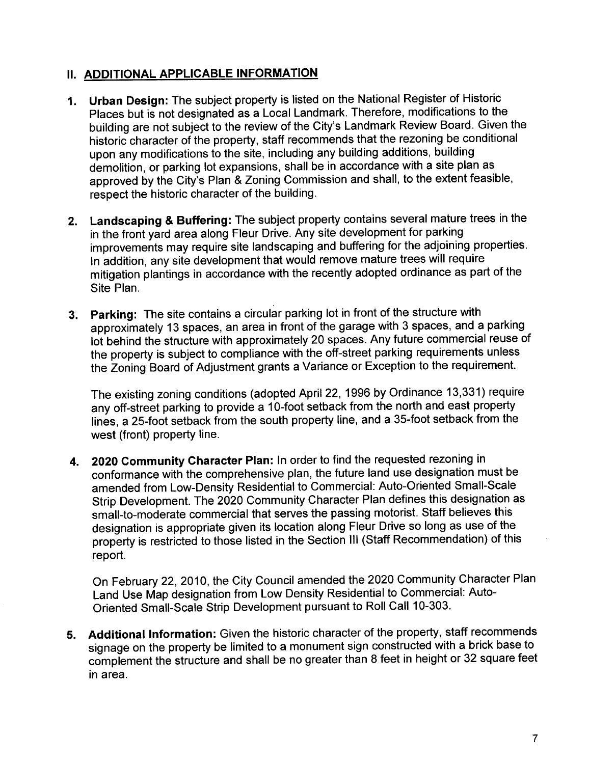## **II. ADDITIONAL APPLICABLE INFORMATION**

- 1. Urban Design: The subject property is listed on the National Register of Historic Places but is not designated as a Local Landmark. Therefore, modifications to the building are not subject to the review of the City's Landmark Review Board. Given the historic character of the property, staff recommends that the rezoning be conditional upon any modifications to the site, including any building additions, building demolition, or parking lot expansions, shall be in accordance with a site plan as approved by the City's Plan & Zoning Commission and shall, to the extent feasible, respect the historic character of the building.
- 2. Landscaping & Buffering: The subject property contains several mature trees in the in the front yard area along Fleur Drive. Any site development for parking improvements may require site landscaping and buffering for the adjoining properties. In addition, any site development that would remove mature trees will require mitigation plantings in accordance with the recently adopted ordinance as part of the Site Plan.
- 3. Parking: The site contains a circular parking lot in front of the structure with approximately 13 spaces, an area in front of the garage with 3 spaces, and a parking lot behind the structure with approximately 20 spaces. Any future commercial reuse of the property is subject to compliance with the off-street parking requirements unless the Zoning Board of Adjustment grants a Variance or Exception to the requirement.

The existing zoning conditions (adopted April 22, 1996 by Ordinance 13,331) require any off-street parking to provide a 10-foot setback from the north and east property lines, a 25-foot setback from the south property line, and a 35-foot setback from the west (front) property line.

4. 2020 Community Character Plan: In order to find the requested rezoning in conformance with the comprehensive plan, the future land use designation must be amended from Low-Density Residential to Commercial: Auto-Oriented Small-Scale Strip Development. The 2020 Community Character Plan defines this designation as small-to-moderate commercial that serves the passing motorist. Staff believes this designation is appropriate given its location along Fleur Drive so long as use of the property is restricted to those listed in the Section III (Staff Recommendation) of this report.

On February 22,2010, the City Council amended the 2020 Community Character Plan Land Use Map designation from Low Density Residential to Commercial: Auto-Oriented Small-Scale Strip Development pursuant to Roll Call 10-303.

5. Additional Information: Given the historic character of the property, staff recommends signage on the property be limited to a monument sign constructed with a brick base to complement the structure and shall be no greater than 8 feet in height or 32 square feet in area.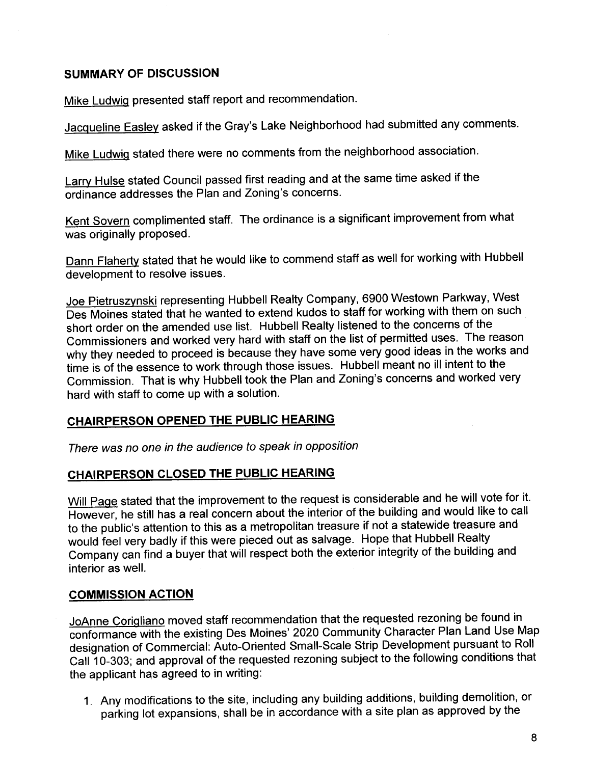### SUMMARY OF DISCUSSION

Mike Ludwiq presented staff report and recommendation.

Jacqueline Easley asked if the Gray's Lake Neighborhood had submitted any comments.

Mike Ludwiq stated there were no comments from the neighborhood association.

Larry Hulse stated Council passed first reading and at the same time asked if the ordinance addresses the Plan and Zoning's concerns.

Kent Sovern complimented staff. The ordinance is a significant improvement from what was originally proposed.

Dann Flaherty stated that he would like to commend staff as well for working with Hubbell development to resolve issues.

Joe Pietruszvnski representing Hubbell Realty Company, 6900 Westown Parkway, West Des Moines stated that he wanted to extend kudos to staff for working with them on such short order on the amended use list. Hubbell Realty listened to the concerns of the Commissioners and worked very hard with staff on the list of permitted uses. The reason why they needed to proceed is because they have some very good ideas in the works and time is of the essence to work through those issues. Hubbell meant no ill intent to the Commission. That is why Hubbell took the Plan and Zoning's concerns and worked very hard with staff to come up with a solution.

## CHAIRPERSON OPENED THE PUBLIC HEARING

There was no one in the audience to speak in opposition

### CHAIRPERSON CLOSED THE PUBLIC HEARING

Will Page stated that the improvement to the request is considerable and he will vote for it. However, he still has a real concern about the interior of the building and would like to call to the public's attention to this as a metropolitan treasure if not a statewide treasure and would feel very badly if this were pieced out as salvage. Hope that Hubbell Realty Company can find a buyer that will respect both the exterior integrity of the building and interior as welL.

#### COMMISSION ACTION

JoAnne Corigliano moved staff recommendation that the requested rezoning be found in conformance with the existing Des Moines' 2020 Community Character Plan Land Use Map designation of Commercial: Auto-Oriented Small-Scale Strip Development pursuant to Roll Call 10-303; and approval of the requested rezoning subject to the following conditions that the applicant has agreed to in writing:

1. Any modifications to the site, including any building additions, building demolition, or parking lot expansions, shall be in accordance with a site plan as approved by the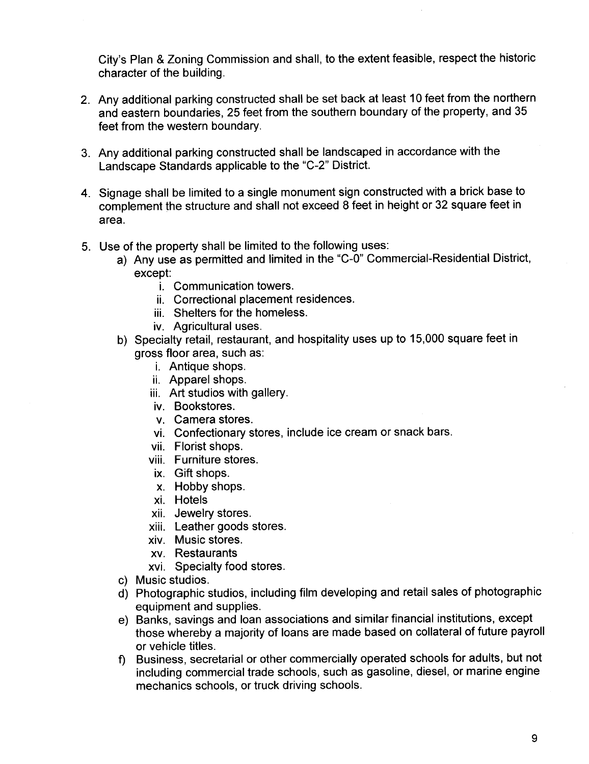City's Plan & Zoning Commission and shall, to the extent feasible, respect the historic character of the building.

- 2. Any additional parking constructed shall be set back at least 10 feet from the northern and eastern boundaries, 25 feet from the southern boundary of the property, and 35 feet from the western boundary.
- 3. Any additional parking constructed shall be landscaped in accordance with the Landscape Standards applicable to the "C-2" District.
- 4. Signage shall be limited to a single monument sign constructed with a brick base to complement the structure and shall not exceed 8 feet in height or 32 square feet in area.
- 5. Use of the property shall be limited to the following uses:
	- a) Any use as permitted and limited in the "C-O" Commercial-Residential District, except:
		- i. Communication towers.
		- ii. Correctional placement residences.
		- iii. Shelters for the homeless.
		- iv. Agricultural uses.
	- b) Specialty retail, restaurant, and hospitality uses up to 15,000 square feet in gross floor area, such as:
		- i. Antique shops.
		- ii. Apparel shops.
		- iii. Art studios with gallery.
		- iv. Bookstores.
		- v. Camera stores.
		- vi. Confectionary stores, include ice cream or snack bars.
		- vii. Florist shops.
		- viii. Furniture stores.
		- ix. Gift shops.
		- x. Hobby shops.
		- xi. Hotels
		- xii. Jewelry stores.
		- xiii. Leather goods stores.
		- xiv. Music stores.
		- xv. Restaurants
		- xvi. Specialty food stores.
	- c) Music studios.
	- d) Photographic studios, including film developing and retail sales of photographic equipment and supplies.
	- e) Banks, savings and loan associations and similar financial institutions, except those whereby a majority of loans are made based on collateral of future payroll or vehicle titles.
	- f) Business, secretarial or other commercially operated schools for adults, but not including commercial trade schools, such as gasoline, diesel, or marine engine mechanics schools, or truck driving schools.